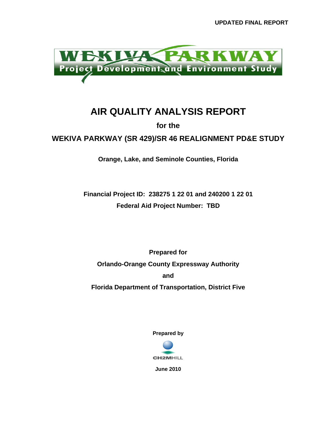

## **AIR QUALITY ANALYSIS REPORT**

**for the** 

**WEKIVA PARKWAY (SR 429)/SR 46 REALIGNMENT PD&E STUDY** 

**Orange, Lake, and Seminole Counties, Florida** 

**Financial Project ID: 238275 1 22 01 and 240200 1 22 01 Federal Aid Project Number: TBD** 

**Prepared for Orlando-Orange County Expressway Authority and Florida Department of Transportation, District Five** 

**Prepared by** 



**June 2010**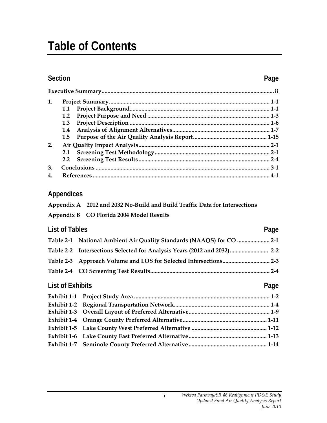# **Table of Contents**

### **Section Page**

| 1.               |     |        |
|------------------|-----|--------|
|                  |     |        |
|                  | 1.2 |        |
|                  | 1.3 |        |
|                  | 1.4 |        |
|                  | 1.5 |        |
| 2.               |     |        |
|                  | 2.1 |        |
|                  |     |        |
| 3.               |     |        |
| $\boldsymbol{4}$ |     | $.4-1$ |

### **Appendices**

**Appendix B CO Florida 2004 Model Results** 

| <b>List of Tables</b>   |                                                                          | Page |
|-------------------------|--------------------------------------------------------------------------|------|
|                         | Table 2-1 National Ambient Air Quality Standards (NAAQS) for CO  2-1     |      |
|                         | Table 2-2 Intersections Selected for Analysis Years (2012 and 2032)  2-2 |      |
|                         |                                                                          |      |
|                         |                                                                          |      |
| <b>List of Exhibits</b> |                                                                          | Page |
|                         |                                                                          |      |
|                         |                                                                          |      |

| Exhibit 1-3     Overall Layout of Preferred Alternative………………………………………………………………1-9 |  |
|------------------------------------------------------------------------------------|--|
|                                                                                    |  |
|                                                                                    |  |
|                                                                                    |  |
|                                                                                    |  |